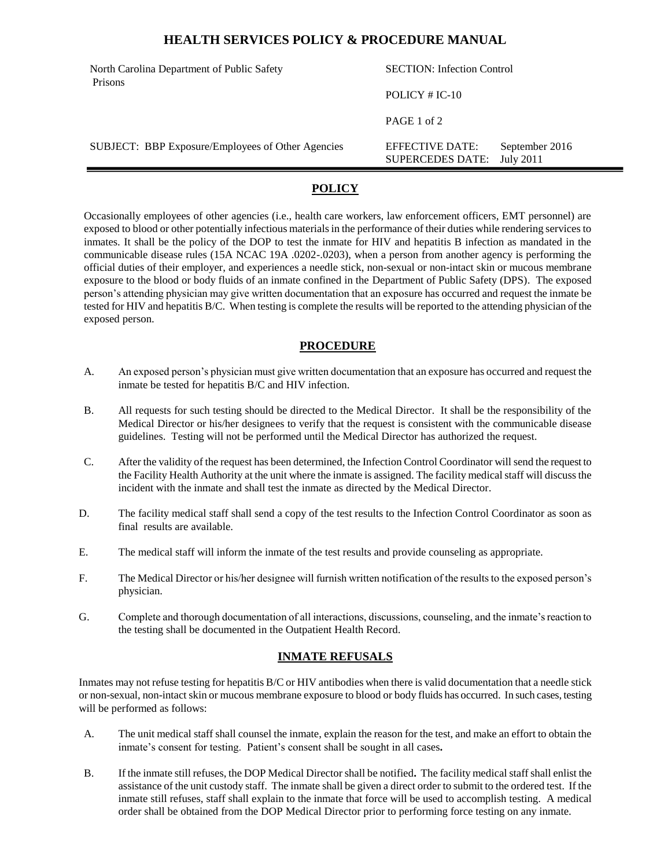### **HEALTH SERVICES POLICY & PROCEDURE MANUAL**

| North Carolina Department of Public Safety<br>Prisons | <b>SECTION:</b> Infection Control          |                             |
|-------------------------------------------------------|--------------------------------------------|-----------------------------|
|                                                       | POLICY $# IC-10$                           |                             |
|                                                       | PAGE 1 of 2                                |                             |
| SUBJECT: BBP Exposure/Employees of Other Agencies     | EFFECTIVE DATE:<br><b>SUPERCEDES DATE:</b> | September 2016<br>July 2011 |

# **POLICY**

Occasionally employees of other agencies (i.e., health care workers, law enforcement officers, EMT personnel) are exposed to blood or other potentially infectious materials in the performance of their duties while rendering services to inmates. It shall be the policy of the DOP to test the inmate for HIV and hepatitis B infection as mandated in the communicable disease rules (15A NCAC 19A .0202-.0203), when a person from another agency is performing the official duties of their employer, and experiences a needle stick, non-sexual or non-intact skin or mucous membrane exposure to the blood or body fluids of an inmate confined in the Department of Public Safety (DPS). The exposed person's attending physician may give written documentation that an exposure has occurred and request the inmate be tested for HIV and hepatitis B/C. When testing is complete the results will be reported to the attending physician of the exposed person.

## **PROCEDURE**

- A. An exposed person's physician must give written documentation that an exposure has occurred and request the inmate be tested for hepatitis B/C and HIV infection.
- B. All requests for such testing should be directed to the Medical Director. It shall be the responsibility of the Medical Director or his/her designees to verify that the request is consistent with the communicable disease guidelines. Testing will not be performed until the Medical Director has authorized the request.
- C. After the validity of the request has been determined, the Infection Control Coordinator will send the request to the Facility Health Authority at the unit where the inmate is assigned. The facility medical staff will discuss the incident with the inmate and shall test the inmate as directed by the Medical Director.
- D. The facility medical staff shall send a copy of the test results to the Infection Control Coordinator as soon as final results are available.
- E. The medical staff will inform the inmate of the test results and provide counseling as appropriate.
- F. The Medical Director or his/her designee will furnish written notification of the results to the exposed person's physician.
- G. Complete and thorough documentation of all interactions, discussions, counseling, and the inmate's reaction to the testing shall be documented in the Outpatient Health Record.

### **INMATE REFUSALS**

Inmates may not refuse testing for hepatitis B/C or HIV antibodies when there is valid documentation that a needle stick or non-sexual, non-intact skin or mucous membrane exposure to blood or body fluids has occurred. In such cases, testing will be performed as follows:

- A. The unit medical staff shall counsel the inmate, explain the reason for the test, and make an effort to obtain the inmate's consent for testing. Patient's consent shall be sought in all cases**.**
- B. If the inmate still refuses, the DOP Medical Director shall be notified**.** The facility medical staff shall enlist the assistance of the unit custody staff. The inmate shall be given a direct order to submit to the ordered test. If the inmate still refuses, staff shall explain to the inmate that force will be used to accomplish testing. A medical order shall be obtained from the DOP Medical Director prior to performing force testing on any inmate.